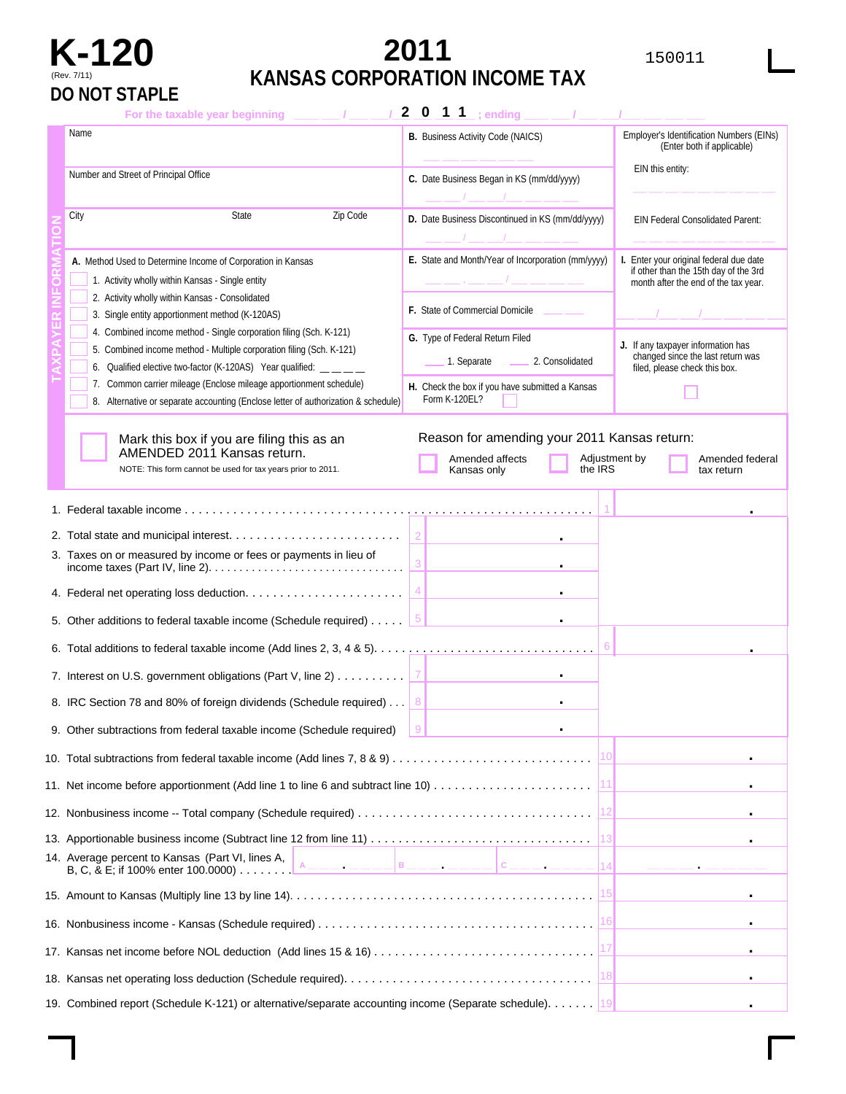# **DO NOT STAPLE**

## **K-120 2011** <sup>150011</sup> (Rev. 7/11) **KANSAS CORPORATION INCOME TAX**

| For the taxable year beginning                                                                                                                                                                                                                                                              |                                                                                       |                                                         |               |                                                                                                                          |  |
|---------------------------------------------------------------------------------------------------------------------------------------------------------------------------------------------------------------------------------------------------------------------------------------------|---------------------------------------------------------------------------------------|---------------------------------------------------------|---------------|--------------------------------------------------------------------------------------------------------------------------|--|
| Name                                                                                                                                                                                                                                                                                        | <b>B.</b> Business Activity Code (NAICS)                                              |                                                         |               | Employer's Identification Numbers (EINs)<br>(Enter both if applicable)                                                   |  |
| Number and Street of Principal Office                                                                                                                                                                                                                                                       | C. Date Business Began in KS (mm/dd/yyyy)                                             |                                                         |               | EIN this entity:                                                                                                         |  |
| Zip Code<br>City<br>State                                                                                                                                                                                                                                                                   | D. Date Business Discontinued in KS (mm/dd/yyyy)                                      |                                                         |               | <b>EIN Federal Consolidated Parent:</b>                                                                                  |  |
| A. Method Used to Determine Income of Corporation in Kansas<br>1. Activity wholly within Kansas - Single entity<br>2. Activity wholly within Kansas - Consolidated<br>3. Single entity apportionment method (K-120AS)<br>4. Combined income method - Single corporation filing (Sch. K-121) | E. State and Month/Year of Incorporation (mm/yyyy)<br>F. State of Commercial Domicile |                                                         |               | I. Enter your original federal due date<br>if other than the 15th day of the 3rd<br>month after the end of the tax year. |  |
| 5. Combined income method - Multiple corporation filing (Sch. K-121)<br>6. Qualified elective two-factor (K-120AS) Year qualified: __ _ _                                                                                                                                                   | G. Type of Federal Return Filed                                                       | 1. Separate _________ 2. Consolidated                   |               | J. If any taxpayer information has<br>changed since the last return was<br>filed, please check this box.                 |  |
| 7. Common carrier mileage (Enclose mileage apportionment schedule)<br>8. Alternative or separate accounting (Enclose letter of authorization & schedule)                                                                                                                                    | H. Check the box if you have submitted a Kansas<br>Form K-120EL?                      |                                                         |               |                                                                                                                          |  |
| Mark this box if you are filing this as an<br>AMENDED 2011 Kansas return.<br>NOTE: This form cannot be used for tax years prior to 2011.                                                                                                                                                    | Amended affects<br>Kansas only                                                        | Reason for amending your 2011 Kansas return:<br>the IRS | Adjustment by | Amended federal<br>tax return                                                                                            |  |
|                                                                                                                                                                                                                                                                                             |                                                                                       |                                                         |               |                                                                                                                          |  |
|                                                                                                                                                                                                                                                                                             |                                                                                       |                                                         |               |                                                                                                                          |  |
| 3. Taxes on or measured by income or fees or payments in lieu of                                                                                                                                                                                                                            |                                                                                       |                                                         |               |                                                                                                                          |  |
|                                                                                                                                                                                                                                                                                             |                                                                                       |                                                         |               |                                                                                                                          |  |
| 5. Other additions to federal taxable income (Schedule required)                                                                                                                                                                                                                            |                                                                                       |                                                         |               |                                                                                                                          |  |
|                                                                                                                                                                                                                                                                                             |                                                                                       |                                                         |               |                                                                                                                          |  |
| 7. Interest on U.S. government obligations (Part V, line 2) $\dots \dots \dots$                                                                                                                                                                                                             |                                                                                       |                                                         |               |                                                                                                                          |  |
| 8. IRC Section 78 and 80% of foreign dividends (Schedule required) 8                                                                                                                                                                                                                        |                                                                                       |                                                         |               |                                                                                                                          |  |
| 9. Other subtractions from federal taxable income (Schedule required)                                                                                                                                                                                                                       |                                                                                       |                                                         |               |                                                                                                                          |  |
|                                                                                                                                                                                                                                                                                             |                                                                                       |                                                         |               |                                                                                                                          |  |
| 11. Net income before apportionment (Add line 1 to line 6 and subtract line 10)                                                                                                                                                                                                             |                                                                                       |                                                         |               |                                                                                                                          |  |
|                                                                                                                                                                                                                                                                                             |                                                                                       |                                                         |               |                                                                                                                          |  |
|                                                                                                                                                                                                                                                                                             |                                                                                       |                                                         |               |                                                                                                                          |  |
| 14. Average percent to Kansas (Part VI, lines A,<br>A_________ B_________ C__________<br>B, C, & E; if 100% enter 100.0000)                                                                                                                                                                 |                                                                                       |                                                         | 14            |                                                                                                                          |  |
|                                                                                                                                                                                                                                                                                             |                                                                                       |                                                         |               |                                                                                                                          |  |
|                                                                                                                                                                                                                                                                                             |                                                                                       |                                                         |               |                                                                                                                          |  |
|                                                                                                                                                                                                                                                                                             |                                                                                       |                                                         |               |                                                                                                                          |  |
|                                                                                                                                                                                                                                                                                             |                                                                                       |                                                         | 18            |                                                                                                                          |  |
| 19. Combined report (Schedule K-121) or alternative/separate accounting income (Separate schedule).                                                                                                                                                                                         |                                                                                       |                                                         |               |                                                                                                                          |  |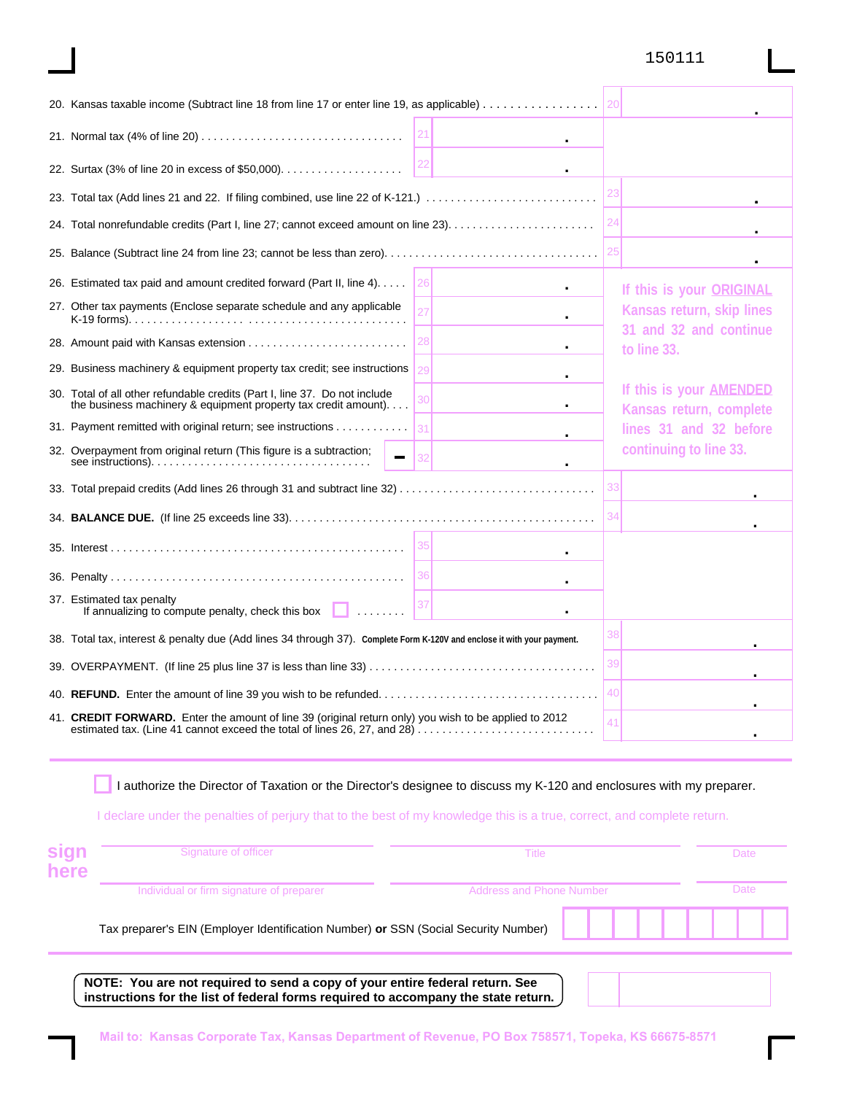#### 150111

| 20. Kansas taxable income (Subtract line 18 from line 17 or enter line 19, as applicable)                                                              |    |                                                    |
|--------------------------------------------------------------------------------------------------------------------------------------------------------|----|----------------------------------------------------|
|                                                                                                                                                        |    |                                                    |
|                                                                                                                                                        |    |                                                    |
|                                                                                                                                                        | 23 |                                                    |
|                                                                                                                                                        | 24 |                                                    |
|                                                                                                                                                        | 25 |                                                    |
| 26<br>26. Estimated tax paid and amount credited forward (Part II, line 4).                                                                            |    | If this is your ORIGINAL                           |
| 27. Other tax payments (Enclose separate schedule and any applicable                                                                                   |    | Kansas return, skip lines                          |
|                                                                                                                                                        |    | 31 and 32 and continue<br>to line 33.              |
| 29. Business machinery & equipment property tax credit; see instructions                                                                               |    |                                                    |
| 30. Total of all other refundable credits (Part I, line 37. Do not include<br>the business machinery & equipment property tax credit amount). $\ldots$ |    | If this is your AMENDED<br>Kansas return, complete |
| 31. Payment remitted with original return; see instructions                                                                                            |    | lines 31 and 32 before                             |
| 32. Overpayment from original return (This figure is a subtraction;                                                                                    |    | continuing to line 33.                             |
|                                                                                                                                                        | 33 |                                                    |
|                                                                                                                                                        | 34 |                                                    |
|                                                                                                                                                        |    |                                                    |
|                                                                                                                                                        |    |                                                    |
| 37. Estimated tax penalty<br>If annualizing to compute penalty, check this box $\Box$                                                                  |    |                                                    |
| 38. Total tax, interest & penalty due (Add lines 34 through 37). Complete Form K-120V and enclose it with your payment.                                | 38 |                                                    |
|                                                                                                                                                        | 39 |                                                    |
|                                                                                                                                                        | 40 |                                                    |
| 41. <b>CREDIT FORWARD.</b> Enter the amount of line 39 (original return only) you wish to be applied to 2012                                           | 41 |                                                    |

I authorize the Director of Taxation or the Director's designee to discuss my K-120 and enclosures with my preparer.

I declare under the penalties of perjury that to the best of my knowledge this is a true, correct, and complete return.

| sign<br>here | Signature of officer                                                                                                                                                                                                                                                                                             | Title                           | Date |  |
|--------------|------------------------------------------------------------------------------------------------------------------------------------------------------------------------------------------------------------------------------------------------------------------------------------------------------------------|---------------------------------|------|--|
|              | Individual or firm signature of preparer                                                                                                                                                                                                                                                                         | <b>Address and Phone Number</b> | Date |  |
|              | Tax preparer's EIN (Employer Identification Number) or SSN (Social Security Number)                                                                                                                                                                                                                              |                                 |      |  |
|              | NOTE: You are not required to send a copy of your entire federal return. See<br>$\mathbf{F}$ , and the set of the set of the set of the set of the set of the set of the set of the set of the set of the set of the set of the set of the set of the set of the set of the set of the set of the set of the set |                                 |      |  |

**instructions for the list of federal forms required to accompany the state return.**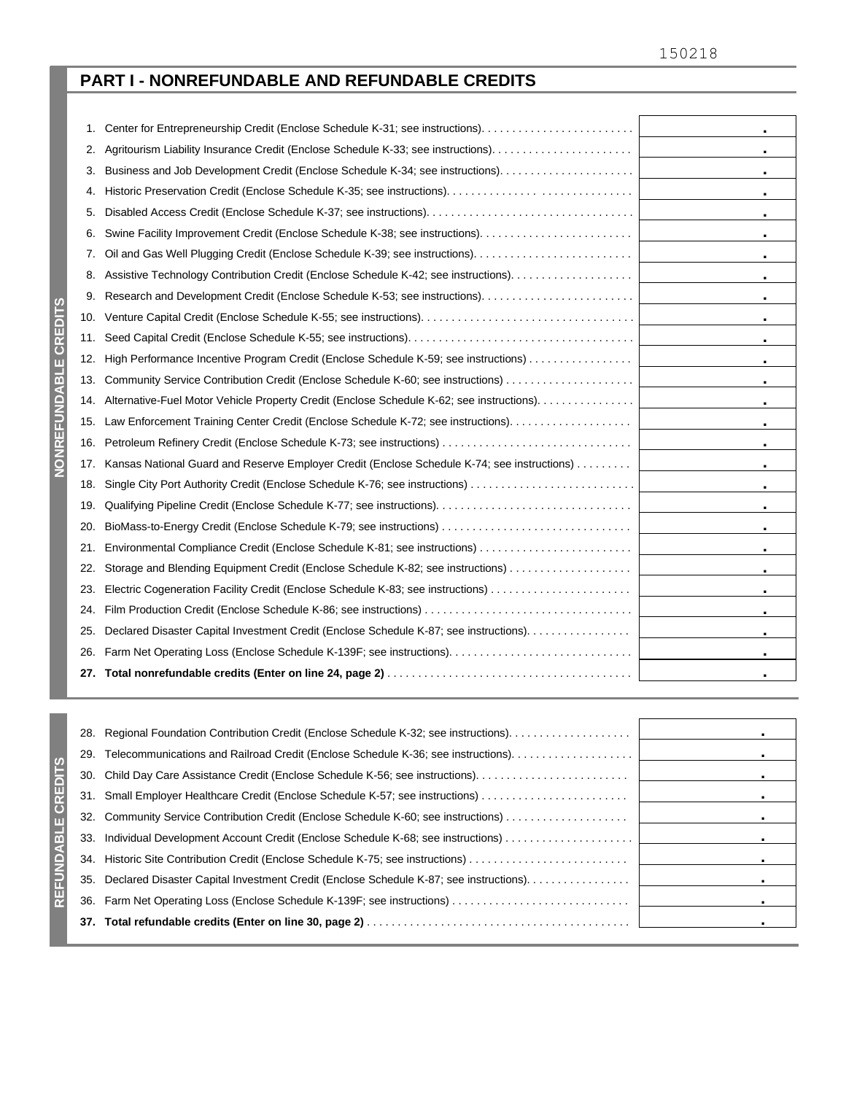### **PART I - NONREFUNDABLE AND REFUNDABLE CREDITS**

| 1.  | ٠                                                                                                           |  |
|-----|-------------------------------------------------------------------------------------------------------------|--|
| 2.  | ٠                                                                                                           |  |
| 3.  | ٠                                                                                                           |  |
| 4.  | ٠                                                                                                           |  |
| 5.  | $\blacksquare$                                                                                              |  |
| 6.  | ٠                                                                                                           |  |
| 7.  | ٠                                                                                                           |  |
| 8.  | ٠                                                                                                           |  |
| 9.  | ٠                                                                                                           |  |
| 10. | ×.                                                                                                          |  |
| 11. | $\blacksquare$                                                                                              |  |
| 12. | High Performance Incentive Program Credit (Enclose Schedule K-59; see instructions)<br>$\blacksquare$       |  |
| 13. | Community Service Contribution Credit (Enclose Schedule K-60; see instructions)<br>$\bullet$ .              |  |
| 14. | Alternative-Fuel Motor Vehicle Property Credit (Enclose Schedule K-62; see instructions).<br>$\blacksquare$ |  |
| 15. | Law Enforcement Training Center Credit (Enclose Schedule K-72; see instructions).<br>$\bullet$ .            |  |
| 16. | Petroleum Refinery Credit (Enclose Schedule K-73; see instructions)<br>$\bullet$                            |  |
| 17. | Kansas National Guard and Reserve Employer Credit (Enclose Schedule K-74; see instructions)<br>$\bullet$    |  |
| 18. | Single City Port Authority Credit (Enclose Schedule K-76; see instructions)<br>$\bullet$ .                  |  |
| 19. | $\bullet$                                                                                                   |  |
| 20. | BioMass-to-Energy Credit (Enclose Schedule K-79; see instructions)<br>$\blacksquare$                        |  |
| 21. | $\bullet$ .                                                                                                 |  |
| 22. | Storage and Blending Equipment Credit (Enclose Schedule K-82; see instructions)<br>$\bullet$                |  |
| 23. | $\bullet$                                                                                                   |  |
| 24. | $\blacksquare$                                                                                              |  |
| 25. | Declared Disaster Capital Investment Credit (Enclose Schedule K-87; see instructions).<br>$\bullet$         |  |
| 26. | $\blacksquare$                                                                                              |  |
|     |                                                                                                             |  |

|                    | 28. | Regional Foundation Contribution Credit (Enclose Schedule K-32; see instructions)                          |
|--------------------|-----|------------------------------------------------------------------------------------------------------------|
|                    | 29. | $\mathbf{m}$ , $\mathbf{m}$                                                                                |
|                    |     |                                                                                                            |
|                    |     |                                                                                                            |
|                    |     | 32. Community Service Contribution Credit (Enclose Schedule K-60; see instructions)                        |
| m<br>$\frac{1}{2}$ |     |                                                                                                            |
|                    |     | $\mathbf{u}$                                                                                               |
|                    |     | 35. Declared Disaster Capital Investment Credit (Enclose Schedule K-87; see instructions).<br>$\mathbf{r}$ |
|                    | 36. |                                                                                                            |
|                    |     |                                                                                                            |
|                    |     |                                                                                                            |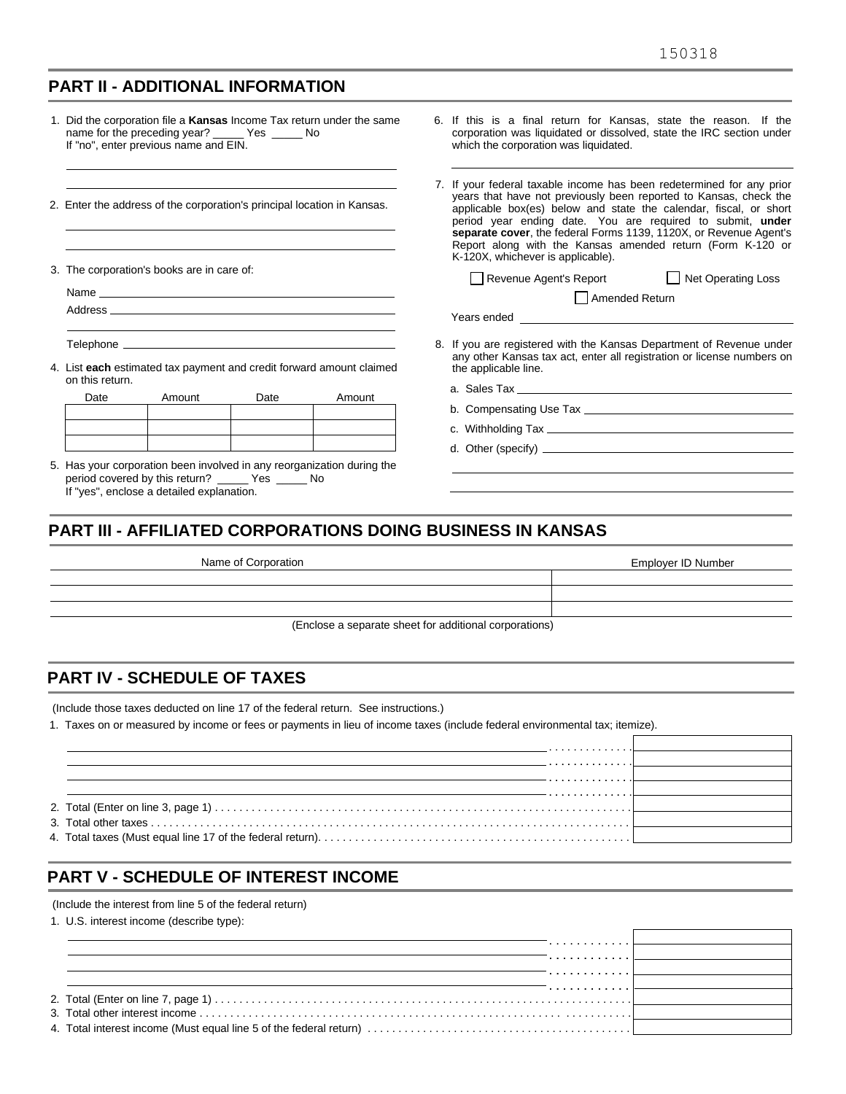#### **PART II - ADDITIONAL INFORMATION**

|                                                                         | name for the preceding year? ______ Yes ______ No<br>If "no", enter previous name and EIN. |                                                                                                                                                                                                                                                                                                                                                                                                                                                       | 1. Did the corporation file a <b>Kansas</b> Income Tax return under the same | 6. If this is a final return for Kansas, state the reason. If the<br>corporation was liquidated or dissolved, state the IRC section under<br>which the corporation was liquidated. |
|-------------------------------------------------------------------------|--------------------------------------------------------------------------------------------|-------------------------------------------------------------------------------------------------------------------------------------------------------------------------------------------------------------------------------------------------------------------------------------------------------------------------------------------------------------------------------------------------------------------------------------------------------|------------------------------------------------------------------------------|------------------------------------------------------------------------------------------------------------------------------------------------------------------------------------|
| 2. Enter the address of the corporation's principal location in Kansas. |                                                                                            | 7. If your federal taxable income has been redetermined for any prior<br>years that have not previously been reported to Kansas, check the<br>applicable box(es) below and state the calendar, fiscal, or short<br>period year ending date. You are required to submit, under<br>separate cover, the federal Forms 1139, 1120X, or Revenue Agent's<br>Report along with the Kansas amended return (Form K-120 or<br>K-120X, whichever is applicable). |                                                                              |                                                                                                                                                                                    |
|                                                                         | 3. The corporation's books are in care of:                                                 |                                                                                                                                                                                                                                                                                                                                                                                                                                                       |                                                                              | Revenue Agent's Report Net Operating Loss                                                                                                                                          |
|                                                                         |                                                                                            |                                                                                                                                                                                                                                                                                                                                                                                                                                                       |                                                                              | Amended Return                                                                                                                                                                     |
|                                                                         |                                                                                            |                                                                                                                                                                                                                                                                                                                                                                                                                                                       |                                                                              |                                                                                                                                                                                    |
|                                                                         |                                                                                            |                                                                                                                                                                                                                                                                                                                                                                                                                                                       |                                                                              |                                                                                                                                                                                    |
|                                                                         |                                                                                            |                                                                                                                                                                                                                                                                                                                                                                                                                                                       | 4. List each estimated tax payment and credit forward amount claimed         | 8. If you are registered with the Kansas Department of Revenue under<br>any other Kansas tax act, enter all registration or license numbers on<br>the applicable line.             |
| on this return.                                                         |                                                                                            |                                                                                                                                                                                                                                                                                                                                                                                                                                                       |                                                                              |                                                                                                                                                                                    |
| Date                                                                    | Amount                                                                                     | Date                                                                                                                                                                                                                                                                                                                                                                                                                                                  | Amount                                                                       |                                                                                                                                                                                    |
|                                                                         |                                                                                            |                                                                                                                                                                                                                                                                                                                                                                                                                                                       |                                                                              |                                                                                                                                                                                    |
|                                                                         |                                                                                            |                                                                                                                                                                                                                                                                                                                                                                                                                                                       |                                                                              |                                                                                                                                                                                    |
|                                                                         |                                                                                            |                                                                                                                                                                                                                                                                                                                                                                                                                                                       | 5. Has your corporation been involved in any reorganization during the       |                                                                                                                                                                                    |
|                                                                         | period covered by this return? _____ Yes _____ No                                          |                                                                                                                                                                                                                                                                                                                                                                                                                                                       |                                                                              |                                                                                                                                                                                    |
|                                                                         | If "yes", enclose a detailed explanation.                                                  |                                                                                                                                                                                                                                                                                                                                                                                                                                                       |                                                                              |                                                                                                                                                                                    |

#### **PART III - AFFILIATED CORPORATIONS DOING BUSINESS IN KANSAS**

| Name of Corporation                                    | Employer ID Number |
|--------------------------------------------------------|--------------------|
|                                                        |                    |
|                                                        |                    |
|                                                        |                    |
| (Enclose a separate sheet for additional corporations) |                    |

#### **PART IV - SCHEDULE OF TAXES**

(Include those taxes deducted on line 17 of the federal return. See instructions.)

1. Taxes on or measured by income or fees or payments in lieu of income taxes (include federal environmental tax; itemize).

| . |  |
|---|--|
| . |  |
|   |  |
|   |  |

#### **PART V - SCHEDULE OF INTEREST INCOME**

(Include the interest from line 5 of the federal return)

1. U.S. interest income (describe type):

| . |
|---|
| . |
| . |
|   |
| . |
|   |
|   |
|   |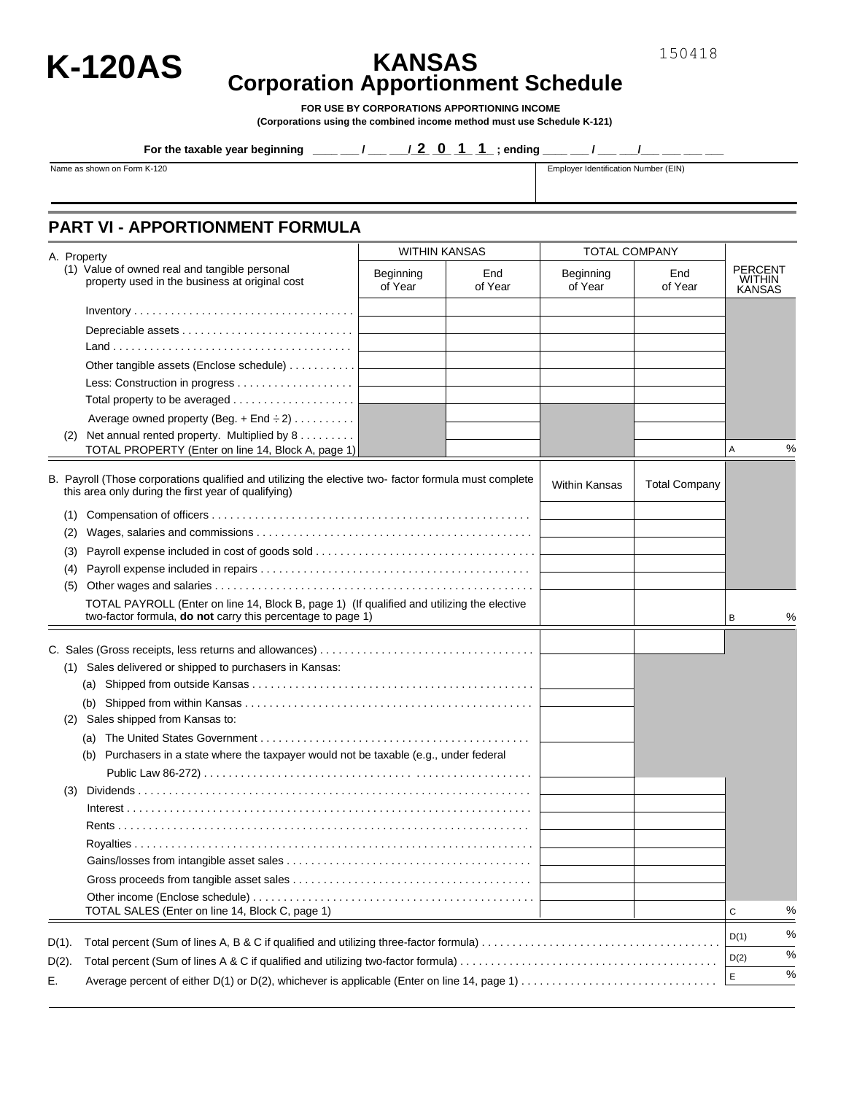

# **K-120AS KANSAS Corporation Apportionment Schedule**

**FOR USE BY CORPORATIONS APPORTIONING INCOME (Corporations using the combined income method must use Schedule K-121)** 

**For the taxable year beginning \_\_\_\_ / \_\_ / 2 0 1 1**; ending \_\_ \_/ \_\_ / \_\_ \_/

Name as shown on Form K-120 **Employer Identification Number (EIN)** 

#### **PART VI - APPORTIONMENT FORMULA**

|          |     | A. Property                                                                                                                                                      |                      | <b>WITHIN KANSAS</b><br><b>TOTAL COMPANY</b> |                      |                      |                                                  |      |
|----------|-----|------------------------------------------------------------------------------------------------------------------------------------------------------------------|----------------------|----------------------------------------------|----------------------|----------------------|--------------------------------------------------|------|
|          |     | (1) Value of owned real and tangible personal<br>property used in the business at original cost                                                                  | Beginning<br>of Year | End<br>of Year                               | Beginning<br>of Year | End<br>of Year       | <b>PERCENT</b><br><b>WITHIN</b><br><b>KANSAS</b> |      |
|          |     |                                                                                                                                                                  |                      |                                              |                      |                      |                                                  |      |
|          |     |                                                                                                                                                                  |                      |                                              |                      |                      |                                                  |      |
|          |     |                                                                                                                                                                  |                      |                                              |                      |                      |                                                  |      |
|          |     | Other tangible assets (Enclose schedule)                                                                                                                         |                      |                                              |                      |                      |                                                  |      |
|          |     |                                                                                                                                                                  |                      |                                              |                      |                      |                                                  |      |
|          |     |                                                                                                                                                                  |                      |                                              |                      |                      |                                                  |      |
|          |     | Average owned property (Beg. + End $\div 2$ )                                                                                                                    |                      |                                              |                      |                      |                                                  |      |
|          |     | (2) Net annual rented property. Multiplied by 8                                                                                                                  |                      |                                              |                      |                      |                                                  |      |
|          |     | TOTAL PROPERTY (Enter on line 14, Block A, page 1)                                                                                                               |                      |                                              |                      |                      | Α                                                | %    |
|          |     | B. Payroll (Those corporations qualified and utilizing the elective two-factor formula must complete<br>this area only during the first year of qualifying)      |                      |                                              | <b>Within Kansas</b> | <b>Total Company</b> |                                                  |      |
|          | (1) |                                                                                                                                                                  |                      |                                              |                      |                      |                                                  |      |
|          | (2) |                                                                                                                                                                  |                      |                                              |                      |                      |                                                  |      |
|          | (3) |                                                                                                                                                                  |                      |                                              |                      |                      |                                                  |      |
|          | (4) |                                                                                                                                                                  |                      |                                              |                      |                      |                                                  |      |
|          | (5) |                                                                                                                                                                  |                      |                                              |                      |                      |                                                  |      |
|          |     | TOTAL PAYROLL (Enter on line 14, Block B, page 1) (If qualified and utilizing the elective<br>two-factor formula, <b>do not</b> carry this percentage to page 1) |                      |                                              |                      |                      | В                                                | %    |
|          |     |                                                                                                                                                                  |                      |                                              |                      |                      |                                                  |      |
|          |     |                                                                                                                                                                  |                      |                                              |                      |                      |                                                  |      |
|          |     | (1) Sales delivered or shipped to purchasers in Kansas:                                                                                                          |                      |                                              |                      |                      |                                                  |      |
|          |     |                                                                                                                                                                  |                      |                                              |                      |                      |                                                  |      |
|          | (2) | Sales shipped from Kansas to:                                                                                                                                    |                      |                                              |                      |                      |                                                  |      |
|          |     | (a)                                                                                                                                                              |                      |                                              |                      |                      |                                                  |      |
|          |     | Purchasers in a state where the taxpayer would not be taxable (e.g., under federal<br>(b)                                                                        |                      |                                              |                      |                      |                                                  |      |
|          |     |                                                                                                                                                                  |                      |                                              |                      |                      |                                                  |      |
|          | (3) |                                                                                                                                                                  |                      |                                              |                      |                      |                                                  |      |
|          |     |                                                                                                                                                                  |                      |                                              |                      |                      |                                                  |      |
|          |     |                                                                                                                                                                  |                      |                                              |                      |                      |                                                  |      |
|          |     |                                                                                                                                                                  |                      |                                              |                      |                      |                                                  |      |
|          |     |                                                                                                                                                                  |                      |                                              |                      |                      |                                                  |      |
|          |     |                                                                                                                                                                  |                      |                                              |                      |                      |                                                  |      |
|          |     |                                                                                                                                                                  |                      |                                              |                      |                      |                                                  |      |
|          |     | TOTAL SALES (Enter on line 14, Block C, page 1)                                                                                                                  |                      |                                              |                      |                      | С                                                | %    |
|          |     |                                                                                                                                                                  |                      |                                              |                      |                      | D(1)                                             | %    |
| $D(1)$ . |     |                                                                                                                                                                  |                      |                                              |                      |                      | D(2)                                             | $\%$ |
| $D(2)$ . |     |                                                                                                                                                                  |                      |                                              |                      |                      |                                                  | $\%$ |
| Е.       |     |                                                                                                                                                                  |                      |                                              |                      |                      | Ε                                                |      |

150418